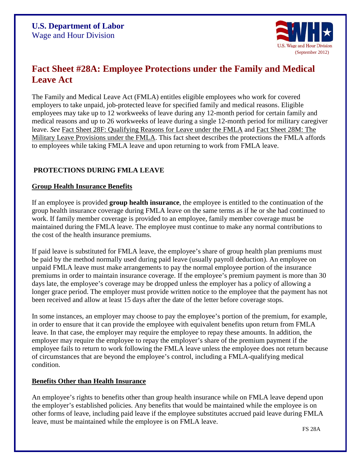

# **Fact Sheet #28A: Employee Protections under the Family and Medical Leave Act**

The Family and Medical Leave Act (FMLA) entitles eligible employees who work for covered employers to take unpaid, job-protected leave for specified family and medical reasons. Eligible employees may take up to 12 workweeks of leave during any 12-month period for certain family and medical reasons and up to 26 workweeks of leave during a single 12-month period for military caregiver leave. *See* [Fact Sheet 28F: Qualifying Reasons for Leave under the FMLA](http://www.dol.gov/whd/regs/compliance/whdfs28f.htm) and [Fact Sheet 28M:](http://www.dol.gov/whd/regs/compliance/whdfs28m.htm) The [Military Leave Provisions under the FMLA.](http://www.dol.gov/whd/regs/compliance/whdfs28m.htm) This fact sheet describes the protections the FMLA affords to employees while taking FMLA leave and upon returning to work from FMLA leave.

## **PROTECTIONS DURING FMLA LEAVE**

#### **Group Health Insurance Benefits**

If an employee is provided **group health insurance**, the employee is entitled to the continuation of the group health insurance coverage during FMLA leave on the same terms as if he or she had continued to work. If family member coverage is provided to an employee, family member coverage must be maintained during the FMLA leave. The employee must continue to make any normal contributions to the cost of the health insurance premiums.

If paid leave is substituted for FMLA leave, the employee's share of group health plan premiums must be paid by the method normally used during paid leave (usually payroll deduction). An employee on unpaid FMLA leave must make arrangements to pay the normal employee portion of the insurance premiums in order to maintain insurance coverage. If the employee's premium payment is more than 30 days late, the employee's coverage may be dropped unless the employer has a policy of allowing a longer grace period. The employer must provide written notice to the employee that the payment has not been received and allow at least 15 days after the date of the letter before coverage stops.

In some instances, an employer may choose to pay the employee's portion of the premium, for example, in order to ensure that it can provide the employee with equivalent benefits upon return from FMLA leave. In that case, the employer may require the employee to repay these amounts. In addition, the employer may require the employee to repay the employer's share of the premium payment if the employee fails to return to work following the FMLA leave unless the employee does not return because of circumstances that are beyond the employee's control, including a FMLA-qualifying medical condition.

## **Benefits Other than Health Insurance**

An employee's rights to benefits other than group health insurance while on FMLA leave depend upon the employer's established policies. Any benefits that would be maintained while the employee is on other forms of leave, including paid leave if the employee substitutes accrued paid leave during FMLA leave, must be maintained while the employee is on FMLA leave.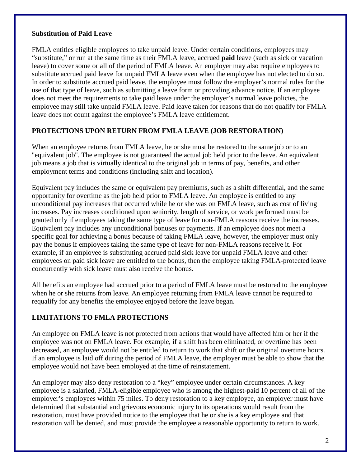## **Substitution of Paid Leave**

FMLA entitles eligible employees to take unpaid leave. Under certain conditions, employees may "substitute," or run at the same time as their FMLA leave, accrued **paid** leave (such as sick or vacation leave) to cover some or all of the period of FMLA leave. An employer may also require employees to substitute accrued paid leave for unpaid FMLA leave even when the employee has not elected to do so. In order to substitute accrued paid leave, the employee must follow the employer's normal rules for the use of that type of leave, such as submitting a leave form or providing advance notice. If an employee does not meet the requirements to take paid leave under the employer's normal leave policies, the employee may still take unpaid FMLA leave. Paid leave taken for reasons that do not qualify for FMLA leave does not count against the employee's FMLA leave entitlement.

## **PROTECTIONS UPON RETURN FROM FMLA LEAVE (JOB RESTORATION)**

When an employee returns from FMLA leave, he or she must be restored to the same job or to an "equivalent job". The employee is not guaranteed the actual job held prior to the leave. An equivalent job means a job that is virtually identical to the original job in terms of pay, benefits, and other employment terms and conditions (including shift and location).

Equivalent pay includes the same or equivalent pay premiums, such as a shift differential, and the same opportunity for overtime as the job held prior to FMLA leave. An employee is entitled to any unconditional pay increases that occurred while he or she was on FMLA leave, such as cost of living increases. Pay increases conditioned upon seniority, length of service, or work performed must be granted only if employees taking the same type of leave for non-FMLA reasons receive the increases. Equivalent pay includes any unconditional bonuses or payments. If an employee does not meet a specific goal for achieving a bonus because of taking FMLA leave, however, the employer must only pay the bonus if employees taking the same type of leave for non-FMLA reasons receive it. For example, if an employee is substituting accrued paid sick leave for unpaid FMLA leave and other employees on paid sick leave are entitled to the bonus, then the employee taking FMLA-protected leave concurrently with sick leave must also receive the bonus.

All benefits an employee had accrued prior to a period of FMLA leave must be restored to the employee when he or she returns from leave. An employee returning from FMLA leave cannot be required to requalify for any benefits the employee enjoyed before the leave began.

## **LIMITATIONS TO FMLA PROTECTIONS**

An employee on FMLA leave is not protected from actions that would have affected him or her if the employee was not on FMLA leave. For example, if a shift has been eliminated, or overtime has been decreased, an employee would not be entitled to return to work that shift or the original overtime hours. If an employee is laid off during the period of FMLA leave, the employer must be able to show that the employee would not have been employed at the time of reinstatement.

An employer may also deny restoration to a "key" employee under certain circumstances. A key employee is a salaried, FMLA-eligible employee who is among the highest-paid 10 percent of all of the employer's employees within 75 miles. To deny restoration to a key employee, an employer must have determined that substantial and grievous economic injury to its operations would result from the restoration, must have provided notice to the employee that he or she is a key employee and that restoration will be denied, and must provide the employee a reasonable opportunity to return to work.